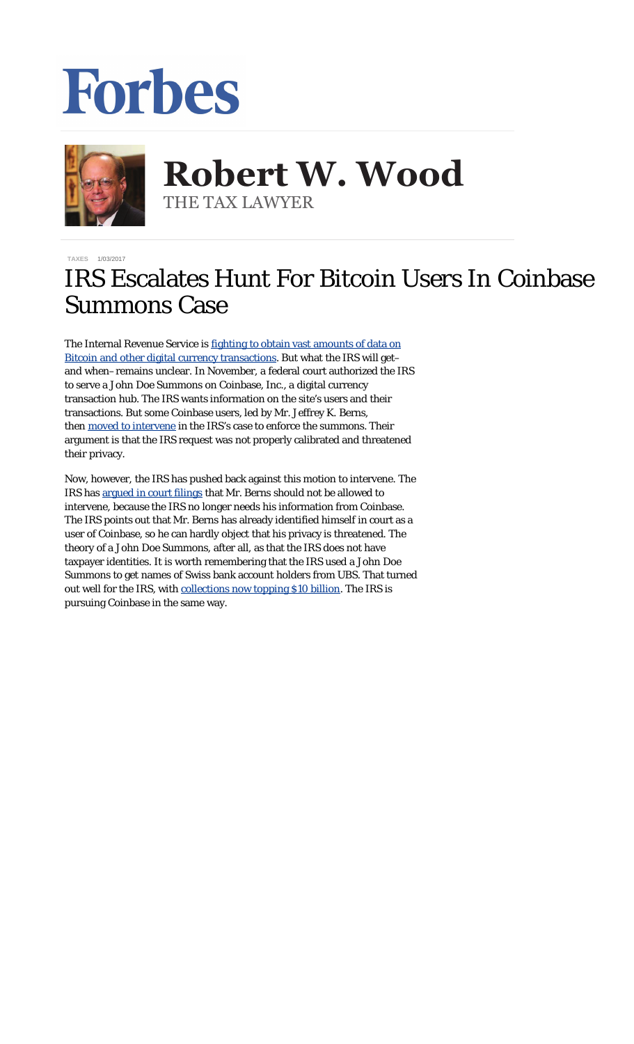## Forbes



**Robert W. Wood Robert W. Wood** THE TAX LAWYER THE TAX LAWYER

**[TAXES](http://www.forbes.com/taxes)** 1/03/2017

## IRS Escalates Hunt For Bitcoin Users In Coinbase Summons Case

The Internal Revenue Service is [fighting to obtain vast amounts of data on](http://www.forbes.com/sites/robertwood/2016/12/02/bitcoin-users-brace-for-irs-audits-from-coinbase-summons/#165e28081091) [Bitcoin and other digital currency transactions](http://www.forbes.com/sites/robertwood/2016/12/02/bitcoin-users-brace-for-irs-audits-from-coinbase-summons/#165e28081091). But what the IRS will get– and when–remains unclear. In November, a federal court authorized the IRS to serve a John Doe Summons on Coinbase, Inc., a digital currency transaction hub. The IRS wants information on the site's users and their transactions. But some Coinbase users, led by Mr. Jeffrey K. Berns, then [moved to intervene](https://www.law111.com/documents/motion-to-intervene-and-to-quash-summons.pdf) in the IRS's case to enforce the summons. Their argument is that the IRS request was not properly calibrated and threatened their privacy.

Now, however, the IRS has pushed back against this motion to intervene. The IRS has [argued in court filings](https://www.scribd.com/document/335233666/The-United-States-of-America-Opposition-to-Jeffrey-K-Berns-Filing#from_embed?content=10079&ad_group=Online+Tracking+Link&campaign=Skimbit%2C+Ltd.&keyword=ft500noi&source=impactradius&medium=affiliate&irgwc=1) that Mr. Berns should not be allowed to intervene, because the IRS no longer needs his information from Coinbase. The IRS points out that Mr. Berns has already identified himself in court as a user of Coinbase, so he can hardly object that his privacy is threatened. The theory of a John Doe Summons, after all, as that the IRS does not have taxpayer identities. It is worth remembering that the IRS used a John Doe Summons to get names of Swiss bank account holders from UBS. That turned out well for the IRS, with [collections now topping \\$10 billion.](https://www.google.com/url?sa=t&rct=j&q=&esrc=s&source=web&cd=2&cad=rja&uact=8&ved=0ahUKEwi-3vPEpqXRAhVBLmMKHXJDDe4QFggjMAE&url=http%3A%2F%2Fwww.forbes.com%2Fsites%2Frobertwood%2F2016%2F10%2F24%2Firs-offshore-account-collections-top-10-billion-fatca-hunt-continues%2F&usg=AFQjCNHL69zOpAQCfsFW9d7BN3APJ9U-Fw&bvm=bv.142059868,d.cGc) The IRS is pursuing Coinbase in the same way.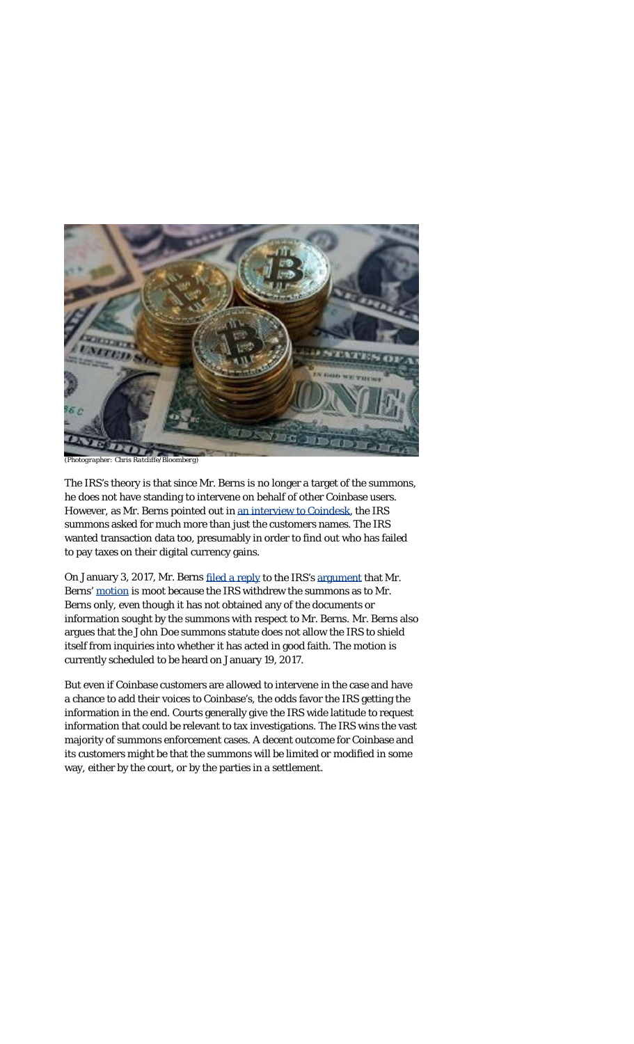

*(Photographer: Chris Ratcliffe/Bloomberg)*

The IRS's theory is that since Mr. Berns is no longer a target of the summons, he does not have standing to intervene on behalf of other Coinbase users. However, as Mr. Berns pointed out in [an interview to Coindesk,](http://www.coindesk.com/coinbase-customer-doubles-legal-action-irs/) the IRS summons asked for much more than just the customers names. The IRS wanted transaction data too, presumably in order to find out who has failed to pay taxes on their digital currency gains.

On January 3, 2017, Mr. Berns [filed a reply](https://www.law111.com/documents/Reply-to-Opposition-to-Motion-to-Intervene-and-Quash-IRS-Summons-01-03-2017.pdf) to the IRS's [argument](https://www.law111.com/documents/united-states-opposition-to-motion-to-intervene-and-quash-john-doe-summons-12-27-2016.pdf) that Mr. Berns' [motion](https://www.law111.com/documents/motion-to-intervene-and-to-quash-summons.pdf) is moot because the IRS withdrew the summons as to Mr. Berns only, even though it has not obtained any of the documents or information sought by the summons with respect to Mr. Berns. Mr. Berns also argues that the John Doe summons statute does not allow the IRS to shield itself from inquiries into whether it has acted in good faith. The motion is currently scheduled to be heard on January 19, 2017.

But even if Coinbase customers are allowed to intervene in the case and have a chance to add their voices to Coinbase's, the odds favor the IRS getting the information in the end. Courts generally give the IRS wide latitude to request information that could be relevant to tax investigations. The IRS wins the vast majority of summons enforcement cases. A decent outcome for Coinbase and its customers might be that the summons will be limited or modified in some way, either by the court, or by the parties in a settlement.